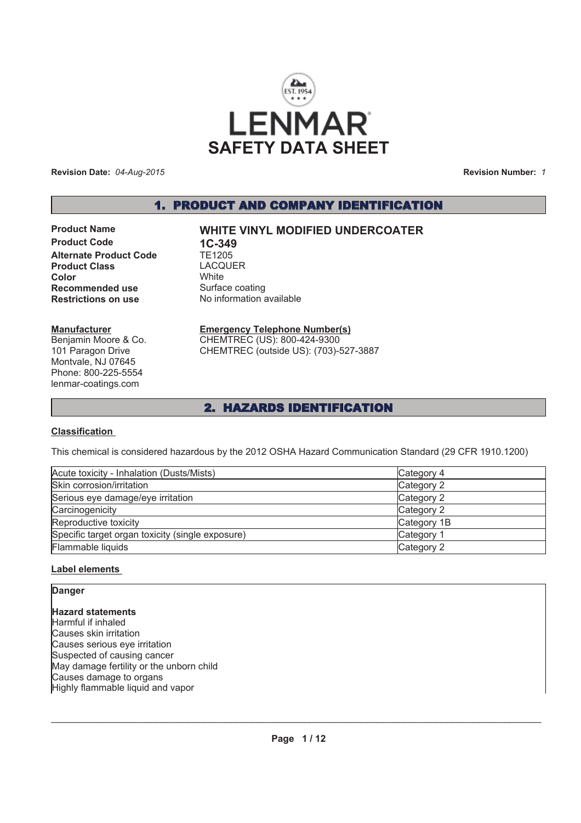

**Revision Date:** *04-Aug-2015*

**Revision Number:** *1*

# 1. PRODUCT AND COMPANY IDENTIFICATION

**Product Code 1C-349<br>Alternate Product Code 1E1205 Alternate Product Code Product Class** LACQUER **Color** White **Recommended use** Surface coating **Restrictions on use** No information available

#### **Manufacturer**

Benjamin Moore & Co. 101 Paragon Drive Montvale, NJ 07645 Phone: 800-225-5554 lenmar-coatings.com

# **Product Name WHITE VINYL MODIFIED UNDERCOATER**

# **Emergency Telephone Number(s)**

CHEMTREC (US): 800-424-9300 CHEMTREC (outside US): (703)-527-3887

# 2. HAZARDS IDENTIFICATION

### **Classification**

This chemical is considered hazardous by the 2012 OSHA Hazard Communication Standard (29 CFR 1910.1200)

| Acute toxicity - Inhalation (Dusts/Mists)        | Category 4  |
|--------------------------------------------------|-------------|
| Skin corrosion/irritation                        | Category 2  |
| Serious eye damage/eye irritation                | Category 2  |
| Carcinogenicity                                  | Category 2  |
| Reproductive toxicity                            | Category 1B |
| Specific target organ toxicity (single exposure) | Category 1  |
| Flammable liquids                                | Category 2  |

### **Label elements**

# **Hazard statements** Harmful if inhaled Causes skin irritation Causes serious eye irritation Suspected of causing cancer May damage fertility or the unborn child Causes damage to organs Highly flammable liquid and vapor **Danger**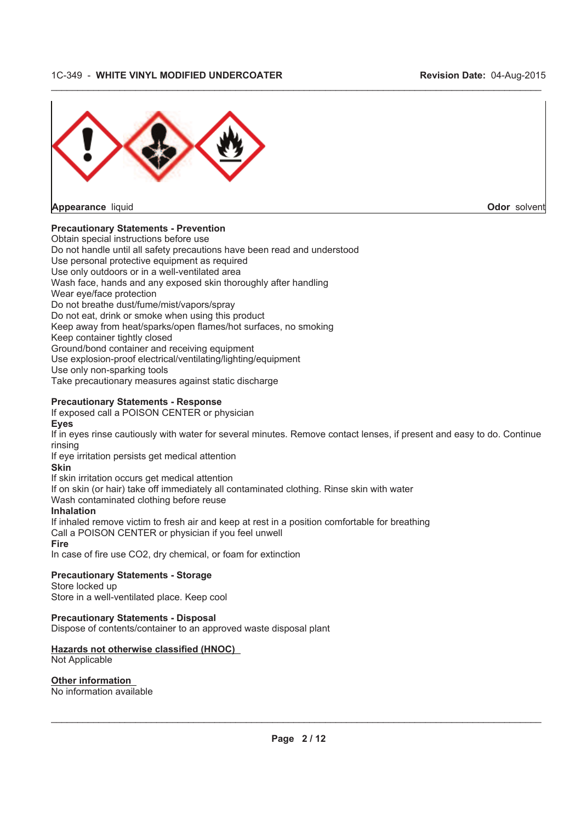

**Appearance** liquid **Odor** solvent

# **Precautionary Statements - Prevention**

Obtain special instructions before use

Do not handle until all safety precautions have been read and understood

Use personal protective equipment as required

Use only outdoors or in a well-ventilated area Wash face, hands and any exposed skin thoroughly after handling

Wear eye/face protection

Do not breathe dust/fume/mist/vapors/spray

Do not eat, drink or smoke when using this product

- Keep away from heat/sparks/open flames/hot surfaces, no smoking
- Keep container tightly closed

Ground/bond container and receiving equipment

Use explosion-proof electrical/ventilating/lighting/equipment

Use only non-sparking tools

Take precautionary measures against static discharge

### **Precautionary Statements - Response**

If exposed call a POISON CENTER or physician

#### **Eyes**

If in eyes rinse cautiously with water for several minutes. Remove contact lenses, if present and easy to do. Continue rinsing

 $\_$  , and the state of the state of the state of the state of the state of the state of the state of the state of the state of the state of the state of the state of the state of the state of the state of the state of the

If eye irritation persists get medical attention

# **Skin**

If skin irritation occurs get medical attention

If on skin (or hair) take off immediately all contaminated clothing. Rinse skin with water

Wash contaminated clothing before reuse

### **Inhalation**

If inhaled remove victim to fresh air and keep at rest in a position comfortable for breathing Call a POISON CENTER or physician if you feel unwell **Fire**

In case of fire use CO2, dry chemical, or foam for extinction

# **Precautionary Statements - Storage**

Store locked up Store in a well-ventilated place. Keep cool

### **Precautionary Statements - Disposal**

Dispose of contents/container to an approved waste disposal plant

# **Hazards not otherwise classified (HNOC)**

Not Applicable

#### **Other information** No information available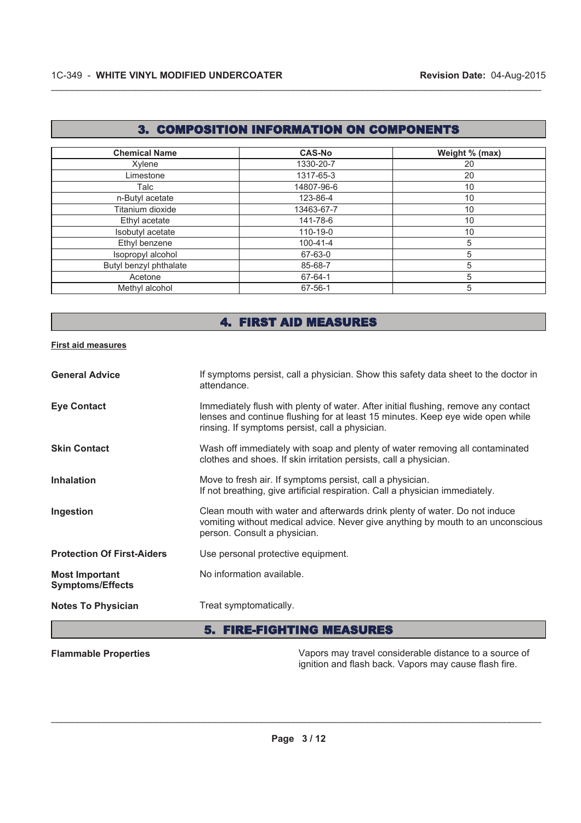# 3. COMPOSITION INFORMATION ON COMPONENTS

 $\_$  , and the state of the state of the state of the state of the state of the state of the state of the state of the state of the state of the state of the state of the state of the state of the state of the state of the

| <b>Chemical Name</b>   | <b>CAS-No</b>  | Weight % (max) |
|------------------------|----------------|----------------|
| Xylene                 | 1330-20-7      | 20             |
| Limestone              | 1317-65-3      | 20             |
| Talc                   | 14807-96-6     | 10             |
| n-Butyl acetate        | 123-86-4       | 10             |
| Titanium dioxide       | 13463-67-7     | 10             |
| Ethyl acetate          | 141-78-6       | 10             |
| Isobutyl acetate       | 110-19-0       | 10             |
| Ethyl benzene          | $100 - 41 - 4$ | 5              |
| Isopropyl alcohol      | 67-63-0        | 5              |
| Butyl benzyl phthalate | 85-68-7        | 5              |
| Acetone                | 67-64-1        | 5              |
| Methyl alcohol         | 67-56-1        | 5              |

# 4. FIRST AID MEASURES

#### **First aid measures**

| <b>General Advice</b>                            | If symptoms persist, call a physician. Show this safety data sheet to the doctor in<br>attendance.                                                                                                                      |
|--------------------------------------------------|-------------------------------------------------------------------------------------------------------------------------------------------------------------------------------------------------------------------------|
| <b>Eye Contact</b>                               | Immediately flush with plenty of water. After initial flushing, remove any contact<br>lenses and continue flushing for at least 15 minutes. Keep eye wide open while<br>rinsing. If symptoms persist, call a physician. |
| <b>Skin Contact</b>                              | Wash off immediately with soap and plenty of water removing all contaminated<br>clothes and shoes. If skin irritation persists, call a physician.                                                                       |
| <b>Inhalation</b>                                | Move to fresh air. If symptoms persist, call a physician.<br>If not breathing, give artificial respiration. Call a physician immediately.                                                                               |
| Ingestion                                        | Clean mouth with water and afterwards drink plenty of water. Do not induce<br>vomiting without medical advice. Never give anything by mouth to an unconscious<br>person. Consult a physician.                           |
| <b>Protection Of First-Aiders</b>                | Use personal protective equipment.                                                                                                                                                                                      |
| <b>Most Important</b><br><b>Symptoms/Effects</b> | No information available.                                                                                                                                                                                               |
| <b>Notes To Physician</b>                        | Treat symptomatically.                                                                                                                                                                                                  |

# 5. FIRE-FIGHTING MEASURES

**Flammable Properties** Vapors may travel considerable distance to a source of ignition and flash back. Vapors may cause flash fire.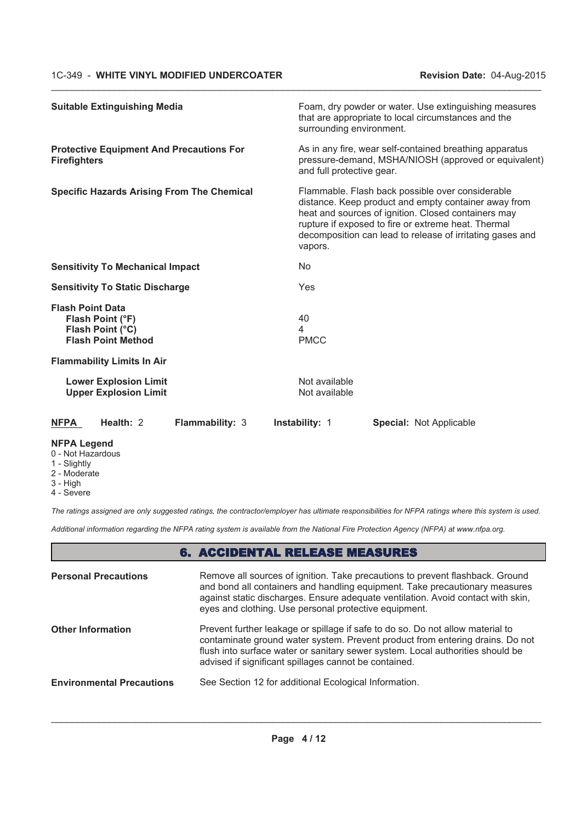| <b>Suitable Extinguishing Media</b>                                                          |                                | Foam, dry powder or water. Use extinguishing measures<br>that are appropriate to local circumstances and the<br>surrounding environment.                                                                                                                                            |  |
|----------------------------------------------------------------------------------------------|--------------------------------|-------------------------------------------------------------------------------------------------------------------------------------------------------------------------------------------------------------------------------------------------------------------------------------|--|
| <b>Protective Equipment And Precautions For</b><br><b>Firefighters</b>                       |                                | As in any fire, wear self-contained breathing apparatus<br>pressure-demand, MSHA/NIOSH (approved or equivalent)<br>and full protective gear.                                                                                                                                        |  |
| <b>Specific Hazards Arising From The Chemical</b>                                            | vapors.                        | Flammable. Flash back possible over considerable<br>distance. Keep product and empty container away from<br>heat and sources of ignition. Closed containers may<br>rupture if exposed to fire or extreme heat. Thermal<br>decomposition can lead to release of irritating gases and |  |
| <b>Sensitivity To Mechanical Impact</b>                                                      | <b>No</b>                      |                                                                                                                                                                                                                                                                                     |  |
| <b>Sensitivity To Static Discharge</b>                                                       | Yes                            |                                                                                                                                                                                                                                                                                     |  |
| <b>Flash Point Data</b><br>Flash Point (°F)<br>Flash Point (°C)<br><b>Flash Point Method</b> | 40<br>4<br><b>PMCC</b>         |                                                                                                                                                                                                                                                                                     |  |
| <b>Flammability Limits In Air</b>                                                            |                                |                                                                                                                                                                                                                                                                                     |  |
| <b>Lower Explosion Limit</b><br><b>Upper Explosion Limit</b>                                 | Not available<br>Not available |                                                                                                                                                                                                                                                                                     |  |
| Health: 2<br><b>NFPA</b><br><b>Flammability: 3</b>                                           | <b>Instability: 1</b>          | <b>Special: Not Applicable</b>                                                                                                                                                                                                                                                      |  |

 $\_$  , and the state of the state of the state of the state of the state of the state of the state of the state of the state of the state of the state of the state of the state of the state of the state of the state of the

# **NFPA Legend**

- 0 Not Hazardous
- 1 Slightly
- 2 Moderate
- 3 High
- 4 Severe

*The ratings assigned are only suggested ratings, the contractor/employer has ultimate responsibilities for NFPA ratings where this system is used.*

*Additional information regarding the NFPA rating system is available from the National Fire Protection Agency (NFPA) at www.nfpa.org.*

# 6. ACCIDENTAL RELEASE MEASURES

| <b>Personal Precautions</b>      | Remove all sources of ignition. Take precautions to prevent flashback. Ground<br>and bond all containers and handling equipment. Take precautionary measures<br>against static discharges. Ensure adequate ventilation. Avoid contact with skin,<br>eyes and clothing. Use personal protective equipment.  |
|----------------------------------|------------------------------------------------------------------------------------------------------------------------------------------------------------------------------------------------------------------------------------------------------------------------------------------------------------|
| <b>Other Information</b>         | Prevent further leakage or spillage if safe to do so. Do not allow material to<br>contaminate ground water system. Prevent product from entering drains. Do not<br>flush into surface water or sanitary sewer system. Local authorities should be<br>advised if significant spillages cannot be contained. |
| <b>Environmental Precautions</b> | See Section 12 for additional Ecological Information.                                                                                                                                                                                                                                                      |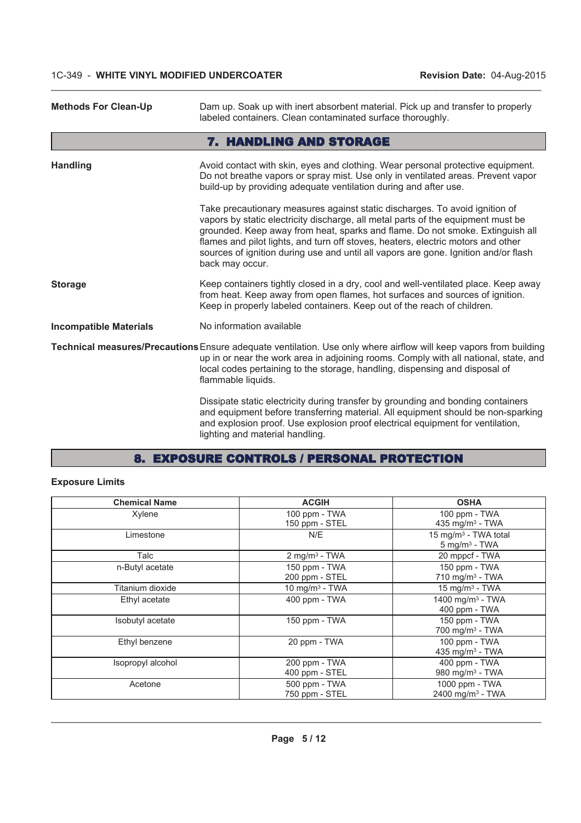| <b>Methods For Clean-Up</b>   | Dam up. Soak up with inert absorbent material. Pick up and transfer to properly<br>labeled containers. Clean contaminated surface thoroughly.                                                                                                                                                                                                                                                                                                  |
|-------------------------------|------------------------------------------------------------------------------------------------------------------------------------------------------------------------------------------------------------------------------------------------------------------------------------------------------------------------------------------------------------------------------------------------------------------------------------------------|
|                               | 7. HANDLING AND STORAGE                                                                                                                                                                                                                                                                                                                                                                                                                        |
| <b>Handling</b>               | Avoid contact with skin, eyes and clothing. Wear personal protective equipment.<br>Do not breathe vapors or spray mist. Use only in ventilated areas. Prevent vapor<br>build-up by providing adequate ventilation during and after use.                                                                                                                                                                                                        |
|                               | Take precautionary measures against static discharges. To avoid ignition of<br>vapors by static electricity discharge, all metal parts of the equipment must be<br>grounded. Keep away from heat, sparks and flame. Do not smoke. Extinguish all<br>flames and pilot lights, and turn off stoves, heaters, electric motors and other<br>sources of ignition during use and until all vapors are gone. Ignition and/or flash<br>back may occur. |
| <b>Storage</b>                | Keep containers tightly closed in a dry, cool and well-ventilated place. Keep away<br>from heat. Keep away from open flames, hot surfaces and sources of ignition.<br>Keep in properly labeled containers. Keep out of the reach of children.                                                                                                                                                                                                  |
| <b>Incompatible Materials</b> | No information available                                                                                                                                                                                                                                                                                                                                                                                                                       |
|                               | Technical measures/Precautions Ensure adequate ventilation. Use only where airflow will keep vapors from building<br>up in or near the work area in adjoining rooms. Comply with all national, state, and<br>local codes pertaining to the storage, handling, dispensing and disposal of<br>flammable liquids.                                                                                                                                 |
|                               | Dissipate static electricity during transfer by grounding and bonding containers<br>and equipment before transferring material. All equipment should be non-sparking<br>and explosion proof. Use explosion proof electrical equipment for ventilation,<br>lighting and material handling.                                                                                                                                                      |

 $\_$  , and the state of the state of the state of the state of the state of the state of the state of the state of the state of the state of the state of the state of the state of the state of the state of the state of the

# 8. EXPOSURE CONTROLS / PERSONAL PROTECTION

# **Exposure Limits**

| <b>Chemical Name</b> | <b>ACGIH</b>                    | <b>OSHA</b>                                                     |
|----------------------|---------------------------------|-----------------------------------------------------------------|
| Xylene               | 100 ppm - TWA<br>150 ppm - STEL | 100 ppm - TWA<br>435 mg/m $3$ - TWA                             |
| Limestone            | N/E                             | 15 mg/m <sup>3</sup> - TWA total<br>$5$ mg/m <sup>3</sup> - TWA |
| Talc                 | $2 \text{ mg/m}^3$ - TWA        | 20 mppcf - TWA                                                  |
| n-Butyl acetate      | 150 ppm - TWA<br>200 ppm - STEL | 150 ppm - TWA<br>$710$ mg/m <sup>3</sup> - TWA                  |
| Titanium dioxide     | $10 \text{ mg/m}^3$ - TWA       | $15 \text{ mg/m}^3$ - TWA                                       |
| Ethyl acetate        | 400 ppm - TWA                   | 1400 mg/m <sup>3</sup> - TWA<br>400 ppm - TWA                   |
| Isobutyl acetate     | 150 ppm - TWA                   | 150 ppm - TWA<br>700 mg/m <sup>3</sup> - TWA                    |
| Ethyl benzene        | 20 ppm - TWA                    | 100 ppm - TWA<br>435 mg/m <sup>3</sup> - TWA                    |
| Isopropyl alcohol    | 200 ppm - TWA<br>400 ppm - STEL | $400$ ppm - TWA<br>980 mg/m <sup>3</sup> - TWA                  |
| Acetone              | 500 ppm - TWA<br>750 ppm - STEL | 1000 ppm - TWA<br>2400 mg/m <sup>3</sup> - TWA                  |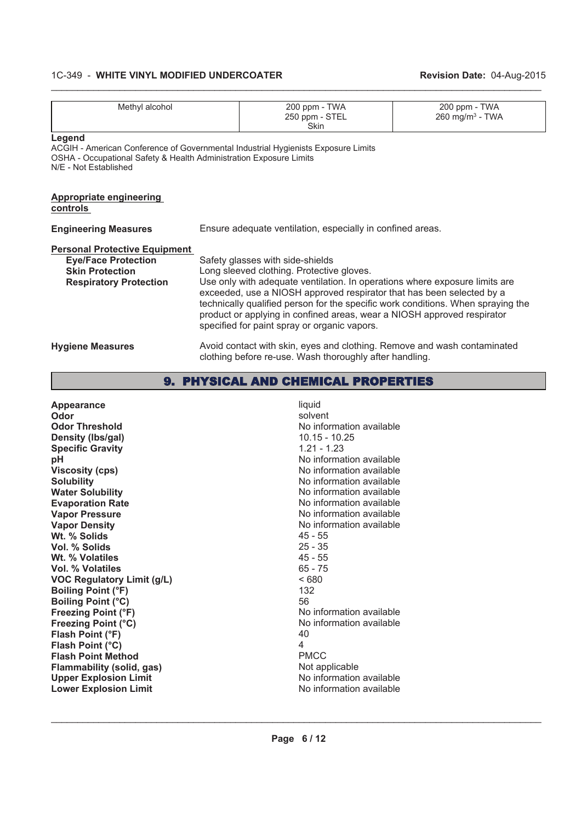| Methyl alcohol                                                                                                                                                                             |                                                            | 200 ppm - TWA<br>250 ppm - STEL<br><b>Skin</b>                                                                                                                                                                                                                                                                                                                                                                                                       | 200 ppm - TWA<br>$260$ mg/m <sup>3</sup> - TWA |
|--------------------------------------------------------------------------------------------------------------------------------------------------------------------------------------------|------------------------------------------------------------|------------------------------------------------------------------------------------------------------------------------------------------------------------------------------------------------------------------------------------------------------------------------------------------------------------------------------------------------------------------------------------------------------------------------------------------------------|------------------------------------------------|
| Legend<br>ACGIH - American Conference of Governmental Industrial Hygienists Exposure Limits<br>OSHA - Occupational Safety & Health Administration Exposure Limits<br>N/E - Not Established |                                                            |                                                                                                                                                                                                                                                                                                                                                                                                                                                      |                                                |
| <b>Appropriate engineering</b><br><u>controls</u>                                                                                                                                          |                                                            |                                                                                                                                                                                                                                                                                                                                                                                                                                                      |                                                |
| <b>Engineering Measures</b>                                                                                                                                                                | Ensure adequate ventilation, especially in confined areas. |                                                                                                                                                                                                                                                                                                                                                                                                                                                      |                                                |
| <b>Personal Protective Equipment</b><br><b>Eye/Face Protection</b><br><b>Skin Protection</b><br><b>Respiratory Protection</b>                                                              |                                                            | Safety glasses with side-shields<br>Long sleeved clothing. Protective gloves.<br>Use only with adequate ventilation. In operations where exposure limits are<br>exceeded, use a NIOSH approved respirator that has been selected by a<br>technically qualified person for the specific work conditions. When spraying the<br>product or applying in confined areas, wear a NIOSH approved respirator<br>specified for paint spray or organic vapors. |                                                |
| <b>Hygiene Measures</b>                                                                                                                                                                    |                                                            | Avoid contact with skin, eyes and clothing. Remove and wash contaminated<br>clothing before re-use. Wash thoroughly after handling.                                                                                                                                                                                                                                                                                                                  |                                                |
|                                                                                                                                                                                            |                                                            |                                                                                                                                                                                                                                                                                                                                                                                                                                                      |                                                |

 $\_$  , and the state of the state of the state of the state of the state of the state of the state of the state of the state of the state of the state of the state of the state of the state of the state of the state of the

# 9. PHYSICAL AND CHEMICAL PROPERTIES

| <b>Appearance</b>                 | liquid                   |
|-----------------------------------|--------------------------|
| Odor                              | solvent                  |
| <b>Odor Threshold</b>             | No information available |
| Density (Ibs/gal)                 | $10.15 - 10.25$          |
| <b>Specific Gravity</b>           | $1.21 - 1.23$            |
| рH                                | No information available |
| <b>Viscosity (cps)</b>            | No information available |
| <b>Solubility</b>                 | No information available |
| <b>Water Solubility</b>           | No information available |
| <b>Evaporation Rate</b>           | No information available |
| <b>Vapor Pressure</b>             | No information available |
| <b>Vapor Density</b>              | No information available |
| Wt. % Solids                      | $45 - 55$                |
| Vol. % Solids                     | $25 - 35$                |
| Wt. % Volatiles                   | $45 - 55$                |
| Vol. % Volatiles                  | $65 - 75$                |
| <b>VOC Regulatory Limit (g/L)</b> | <680                     |
| <b>Boiling Point (°F)</b>         | 132                      |
| <b>Boiling Point (°C)</b>         | 56                       |
| <b>Freezing Point (°F)</b>        | No information available |
| <b>Freezing Point (°C)</b>        | No information available |
| Flash Point (°F)                  | 40                       |
| Flash Point (°C)                  | 4                        |
| <b>Flash Point Method</b>         | <b>PMCC</b>              |
| <b>Flammability (solid, gas)</b>  | Not applicable           |
| <b>Upper Explosion Limit</b>      | No information available |
| <b>Lower Explosion Limit</b>      | No information available |
|                                   |                          |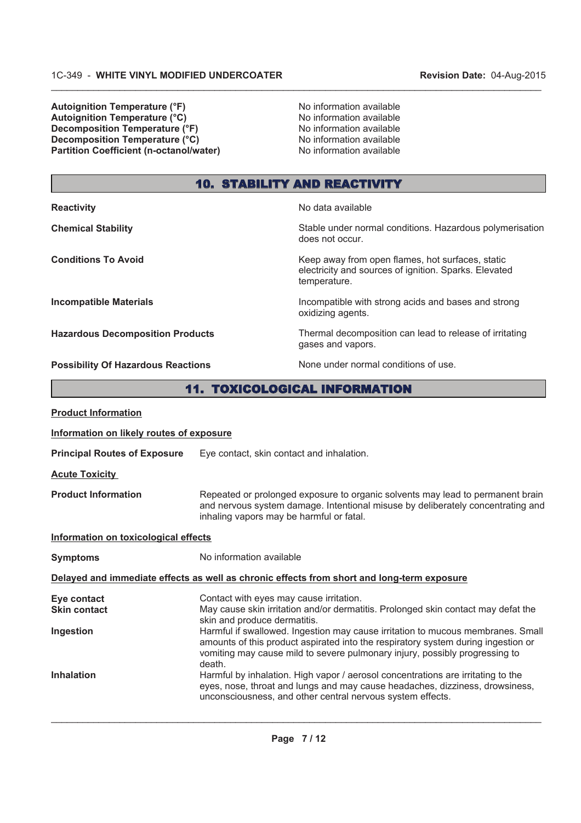**Autoignition Temperature (°F)**<br> **Autoignition Temperature (°C)** No information available **Autoignition Temperature (°C)**<br> **Decomposition Temperature (°F)** No information available **Decomposition Temperature (°F) Decomposition Temperature (°C)** No information available **Partition Coefficient (n-octanol/water)** No information available

does not occur.

temperature.

oxidizing agents.

gases and vapors.

electricity and sources of ignition. Sparks. Elevated

# 10. STABILITY AND REACTIVITY

 $\_$  , and the state of the state of the state of the state of the state of the state of the state of the state of the state of the state of the state of the state of the state of the state of the state of the state of the

**Reactivity No data available** 

**Chemical Stability** Stable under normal conditions. Hazardous polymerisation conditions.

**Conditions To Avoid Conditions To Avoid Keep away from open flames, hot surfaces, static** 

**Incompatible Materials Incompatible with strong acids and bases and strong** 

**Hazardous Decomposition Products** Thermal decomposition can lead to release of irritating

**Possibility Of Hazardous Reactions** None under normal conditions of use.

# 11. TOXICOLOGICAL INFORMATION

| <b>Product Information</b>                                                                 |                                                                                                                                                                                                                                                               |  |  |
|--------------------------------------------------------------------------------------------|---------------------------------------------------------------------------------------------------------------------------------------------------------------------------------------------------------------------------------------------------------------|--|--|
| Information on likely routes of exposure                                                   |                                                                                                                                                                                                                                                               |  |  |
| <b>Principal Routes of Exposure</b>                                                        | Eye contact, skin contact and inhalation.                                                                                                                                                                                                                     |  |  |
| <b>Acute Toxicity</b>                                                                      |                                                                                                                                                                                                                                                               |  |  |
| <b>Product Information</b>                                                                 | Repeated or prolonged exposure to organic solvents may lead to permanent brain<br>and nervous system damage. Intentional misuse by deliberately concentrating and<br>inhaling vapors may be harmful or fatal.                                                 |  |  |
| Information on toxicological effects                                                       |                                                                                                                                                                                                                                                               |  |  |
| <b>Symptoms</b>                                                                            | No information available                                                                                                                                                                                                                                      |  |  |
| Delayed and immediate effects as well as chronic effects from short and long-term exposure |                                                                                                                                                                                                                                                               |  |  |
| Eye contact<br><b>Skin contact</b>                                                         | Contact with eyes may cause irritation.<br>May cause skin irritation and/or dermatitis. Prolonged skin contact may defat the<br>skin and produce dermatitis.                                                                                                  |  |  |
| Ingestion                                                                                  | Harmful if swallowed. Ingestion may cause irritation to mucous membranes. Small<br>amounts of this product aspirated into the respiratory system during ingestion or<br>vomiting may cause mild to severe pulmonary injury, possibly progressing to<br>death. |  |  |
| <b>Inhalation</b>                                                                          | Harmful by inhalation. High vapor / aerosol concentrations are irritating to the<br>eyes, nose, throat and lungs and may cause headaches, dizziness, drowsiness,<br>unconsciousness, and other central nervous system effects.                                |  |  |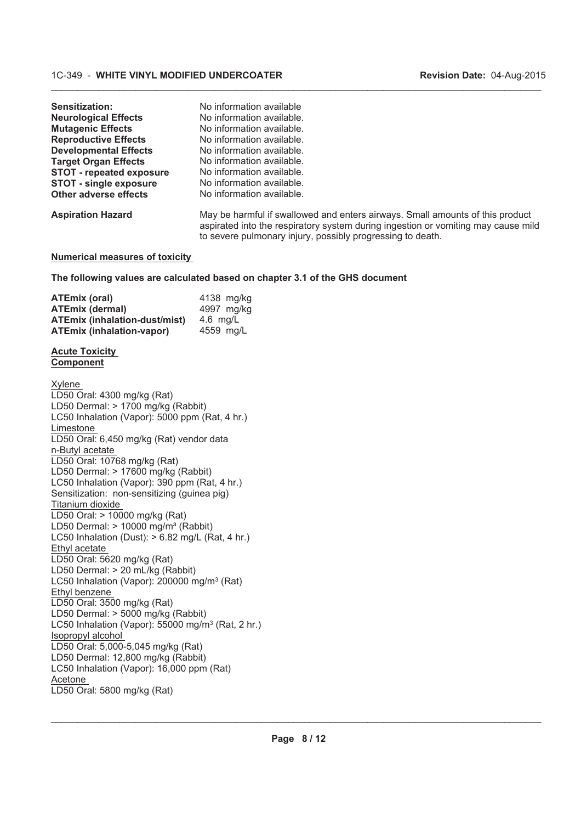| Sensitization:<br><b>Neurological Effects</b><br><b>Mutagenic Effects</b> | No information available<br>No information available.<br>No information available.                                                                                                                                               |
|---------------------------------------------------------------------------|----------------------------------------------------------------------------------------------------------------------------------------------------------------------------------------------------------------------------------|
| <b>Reproductive Effects</b>                                               | No information available.                                                                                                                                                                                                        |
| <b>Developmental Effects</b>                                              | No information available.                                                                                                                                                                                                        |
| <b>Target Organ Effects</b>                                               | No information available.                                                                                                                                                                                                        |
| <b>STOT - repeated exposure</b>                                           | No information available.                                                                                                                                                                                                        |
| <b>STOT - single exposure</b>                                             | No information available.                                                                                                                                                                                                        |
| Other adverse effects                                                     | No information available.                                                                                                                                                                                                        |
| <b>Aspiration Hazard</b>                                                  | May be harmful if swallowed and enters airways. Small amounts of this product<br>aspirated into the respiratory system during ingestion or vomiting may cause mild<br>to severe pulmonary injury, possibly progressing to death. |

 $\_$  , and the state of the state of the state of the state of the state of the state of the state of the state of the state of the state of the state of the state of the state of the state of the state of the state of the

# **Numerical measures of toxicity**

**The following values are calculated based on chapter 3.1 of the GHS document**

| <b>ATEmix (oral)</b>                 | 4138 mg/kg |
|--------------------------------------|------------|
| <b>ATEmix (dermal)</b>               | 4997 mg/kg |
| <b>ATEmix (inhalation-dust/mist)</b> | 4.6 $mq/L$ |
| <b>ATEmix (inhalation-vapor)</b>     | 4559 mg/L  |

#### **Acute Toxicity Component**

| Xylene                                                        |
|---------------------------------------------------------------|
| LD50 Oral: 4300 mg/kg (Rat)                                   |
| LD50 Dermal: > 1700 mg/kg (Rabbit)                            |
| LC50 Inhalation (Vapor): 5000 ppm (Rat, 4 hr.)                |
| Limestone                                                     |
| LD50 Oral: 6,450 mg/kg (Rat) vendor data                      |
| n-Butyl acetate                                               |
| LD50 Oral: 10768 mg/kg (Rat)                                  |
| LD50 Dermal: > 17600 mg/kg (Rabbit)                           |
| LC50 Inhalation (Vapor): 390 ppm (Rat, 4 hr.)                 |
| Sensitization: non-sensitizing (guinea pig)                   |
| Titanium dioxide                                              |
| LD50 Oral: > 10000 mg/kg (Rat)                                |
| LD50 Dermal: $> 10000$ mg/m <sup>3</sup> (Rabbit)             |
| LC50 Inhalation (Dust): $> 6.82$ mg/L (Rat, 4 hr.)            |
| Ethyl acetate                                                 |
| LD50 Oral: 5620 mg/kg (Rat)                                   |
| LD50 Dermal: > 20 mL/kg (Rabbit)                              |
| LC50 Inhalation (Vapor): 200000 mg/m <sup>3</sup> (Rat)       |
| Ethyl benzene                                                 |
| LD50 Oral: 3500 mg/kg (Rat)                                   |
| LD50 Dermal: > 5000 mg/kg (Rabbit)                            |
| LC50 Inhalation (Vapor): 55000 mg/m <sup>3</sup> (Rat, 2 hr.) |
| Isopropyl alcohol                                             |
| LD50 Oral: 5,000-5,045 mg/kg (Rat)                            |
| LD50 Dermal: 12,800 mg/kg (Rabbit)                            |
| LC50 Inhalation (Vapor): 16,000 ppm (Rat)                     |
| Acetone                                                       |
| LD50 Oral: 5800 mg/kg (Rat)                                   |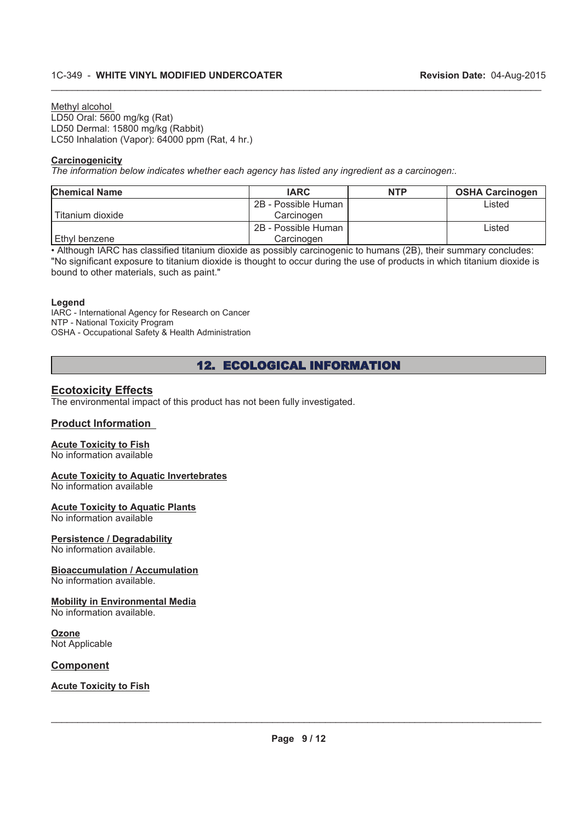Methyl alcohol LD50 Oral: 5600 mg/kg (Rat) LD50 Dermal: 15800 mg/kg (Rabbit) LC50 Inhalation (Vapor): 64000 ppm (Rat, 4 hr.)

#### **Carcinogenicity**

*The information below indicates whether each agency has listed any ingredient as a carcinogen:.*

| <b>Chemical Name</b> | <b>IARC</b>         | <b>NTP</b> | <b>OSHA Carcinogen</b> |
|----------------------|---------------------|------------|------------------------|
|                      | 2B - Possible Human |            | Listed                 |
| l Titanium dioxide   | Carcinogen          |            |                        |
|                      | 2B - Possible Human |            | Listed                 |
| l Ethvl benzene      | Carcinogen          |            |                        |

 $\_$  , and the state of the state of the state of the state of the state of the state of the state of the state of the state of the state of the state of the state of the state of the state of the state of the state of the

. Although IARC has classified titanium dioxide as possibly carcinogenic to humans (2B), their summary concludes: "No significant exposure to titanium dioxide is thought to occur during the use of products in which titanium dioxide is bound to other materials, such as paint."

#### **Legend**

IARC - International Agency for Research on Cancer NTP - National Toxicity Program OSHA - Occupational Safety & Health Administration

# 12. ECOLOGICAL INFORMATION

#### **Ecotoxicity Effects**

The environmental impact of this product has not been fully investigated.

#### **Product Information**

# **Acute Toxicity to Fish**

No information available

#### **Acute Toxicity to Aquatic Invertebrates**

No information available

#### **Acute Toxicity to Aquatic Plants**

No information available

#### **Persistence / Degradability**

No information available.

#### **Bioaccumulation / Accumulation**

No information available.

# **Mobility in Environmental Media**

No information available.

#### **Ozone** Not Applicable

#### **Component**

#### **Acute Toxicity to Fish**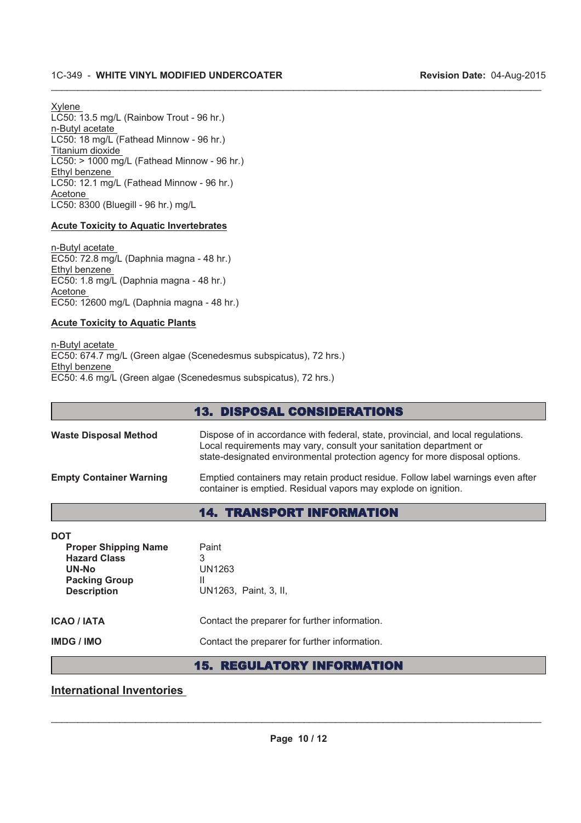Xylene LC50: 13.5 mg/L (Rainbow Trout - 96 hr.) n-Butyl acetate LC50: 18 mg/L (Fathead Minnow - 96 hr.) Titanium dioxide LC50: > 1000 mg/L (Fathead Minnow - 96 hr.) Ethyl benzene LC50: 12.1 mg/L (Fathead Minnow - 96 hr.) Acetone LC50: 8300 (Bluegill - 96 hr.) mg/L

### **Acute Toxicity to Aquatic Invertebrates**

n-Butyl acetate EC50: 72.8 mg/L (Daphnia magna - 48 hr.) Ethyl benzene EC50: 1.8 mg/L (Daphnia magna - 48 hr.) Acetone EC50: 12600 mg/L (Daphnia magna - 48 hr.)

#### **Acute Toxicity to Aquatic Plants**

n-Butyl acetate EC50: 674.7 mg/L (Green algae (Scenedesmus subspicatus), 72 hrs.) Ethyl benzene EC50: 4.6 mg/L (Green algae (Scenedesmus subspicatus), 72 hrs.)

|                                | <b>13. DISPOSAL CONSIDERATIONS</b>                                                                                                                                                                                                    |
|--------------------------------|---------------------------------------------------------------------------------------------------------------------------------------------------------------------------------------------------------------------------------------|
| <b>Waste Disposal Method</b>   | Dispose of in accordance with federal, state, provincial, and local regulations.<br>Local requirements may vary, consult your sanitation department or<br>state-designated environmental protection agency for more disposal options. |
| <b>Empty Container Warning</b> | Emptied containers may retain product residue. Follow label warnings even after<br>container is emptied. Residual vapors may explode on ignition.                                                                                     |
|                                | <b>14. TRANSPORT INFORMATION</b>                                                                                                                                                                                                      |
| <b>DOT</b>                     |                                                                                                                                                                                                                                       |

 $\_$  , and the state of the state of the state of the state of the state of the state of the state of the state of the state of the state of the state of the state of the state of the state of the state of the state of the

| <b>Proper Shipping Name</b><br><b>Hazard Class</b><br>UN-No<br><b>Packing Group</b><br><b>Description</b> | Paint<br>3<br>UN1263<br>Ш<br>UN1263, Paint, 3, II, |
|-----------------------------------------------------------------------------------------------------------|----------------------------------------------------|
| <b>ICAO / IATA</b>                                                                                        | Contact the preparer for further information.      |
| IMDG / IMO                                                                                                | Contact the preparer for further information.      |

# 15. REGULATORY INFORMATION

# **International Inventories**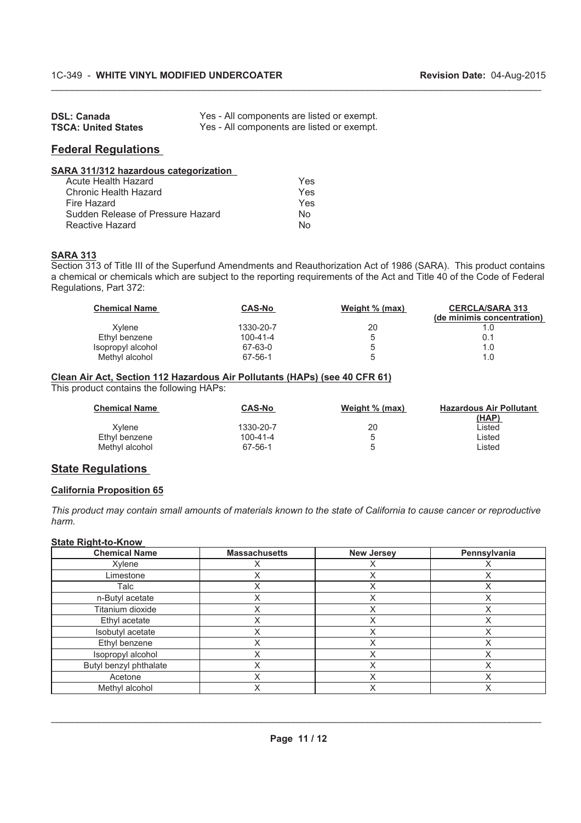| <b>DSL: Canada</b>         | Yes - All components are listed or exempt. |
|----------------------------|--------------------------------------------|
| <b>TSCA: United States</b> | Yes - All components are listed or exempt. |

### **Federal Regulations**

| SARA 311/312 hazardous categorization |     |
|---------------------------------------|-----|
| Acute Health Hazard                   | Yes |
| Chronic Health Hazard                 | Yes |
| Fire Hazard                           | Yes |
| Sudden Release of Pressure Hazard     | N٥  |
| Reactive Hazard                       | N۸  |

#### **SARA 313**

Section 313 of Title III of the Superfund Amendments and Reauthorization Act of 1986 (SARA). This product contains a chemical or chemicals which are subject to the reporting requirements of the Act and Title 40 of the Code of Federal Regulations, Part 372:

 $\_$  , and the state of the state of the state of the state of the state of the state of the state of the state of the state of the state of the state of the state of the state of the state of the state of the state of the

| <b>Chemical Name</b> | <b>CAS-No</b>  | Weight % (max) | <b>CERCLA/SARA 313</b><br>(de minimis concentration) |
|----------------------|----------------|----------------|------------------------------------------------------|
| Xvlene               | 1330-20-7      | 20             |                                                      |
| Ethyl benzene        | $100 - 41 - 4$ | b              | 0.1                                                  |
| Isopropyl alcohol    | 67-63-0        | b              | 1.0                                                  |
| Methyl alcohol       | 67-56-1        | b              |                                                      |

#### **Clean Air Act, Section 112 Hazardous Air Pollutants (HAPs) (see 40 CFR 61)**

This product contains the following HAPs:

| <b>Chemical Name</b> | <b>CAS-No</b> | Weight % (max) | <b>Hazardous Air Pollutant</b><br>(HAP) |
|----------------------|---------------|----------------|-----------------------------------------|
| Xvlene               | 1330-20-7     | 20             | ∟isted                                  |
| Ethyl benzene        | 100-41-4      |                | ∟isted                                  |
| Methyl alcohol       | 67-56-1       |                | ∟isted                                  |

### **State Regulations**

#### **California Proposition 65**

*This product may contain small amounts of materials known to the state of California to cause cancer or reproductive harm.*

# **State Right-to-Know**

| <b>Chemical Name</b>   | <b>Massachusetts</b> | <b>New Jersey</b> | Pennsylvania |
|------------------------|----------------------|-------------------|--------------|
| Xylene                 |                      |                   |              |
| Limestone              |                      | Χ                 |              |
| Talc                   |                      | Х                 |              |
| n-Butyl acetate        |                      | Χ                 | ⋏            |
| Titanium dioxide       | $\checkmark$         | Χ                 |              |
| Ethyl acetate          |                      | $\check{ }$       |              |
| Isobutyl acetate       |                      | Χ                 |              |
| Ethyl benzene          |                      | Χ                 |              |
| Isopropyl alcohol      | X                    | Χ                 |              |
| Butyl benzyl phthalate |                      | Χ                 |              |
| Acetone                | ៶                    | Χ                 |              |
| Methyl alcohol         |                      | Χ                 |              |